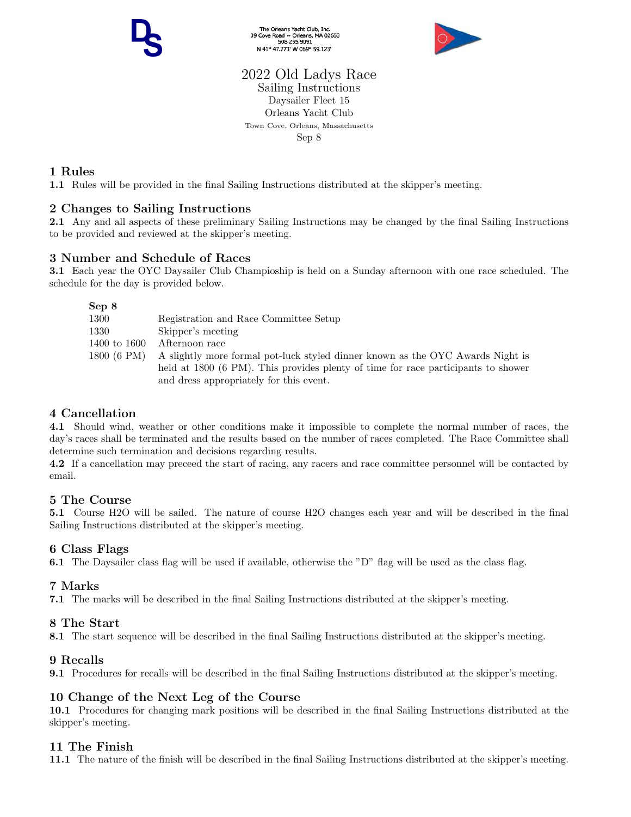The Orleans Yacht Club, Inc.<br>39 Cove Road ~ Orleans, MA 02653<br>508.255.9091 N 41° 47.273' W 069° 59.123'



## 2022 Old Ladys Race Sailing Instructions Daysailer Fleet 15 Orleans Yacht Club Town Cove, Orleans, Massachusetts Sep 8

# 1 Rules

1.1 Rules will be provided in the final Sailing Instructions distributed at the skipper's meeting.

# 2 Changes to Sailing Instructions

2.1 Any and all aspects of these preliminary Sailing Instructions may be changed by the final Sailing Instructions to be provided and reviewed at the skipper's meeting.

# 3 Number and Schedule of Races

3.1 Each year the OYC Daysailer Club Champioship is held on a Sunday afternoon with one race scheduled. The schedule for the day is provided below.

| Sep 8        |                                                                                   |
|--------------|-----------------------------------------------------------------------------------|
| 1300         | Registration and Race Committee Setup                                             |
| 1330         | Skipper's meeting                                                                 |
| 1400 to 1600 | Afternoon race                                                                    |
| 1800 (6 PM)  | A slightly more formal pot-luck styled dinner known as the OYC Awards Night is    |
|              | held at 1800 (6 PM). This provides plenty of time for race participants to shower |
|              | and dress appropriately for this event.                                           |

# 4 Cancellation

4.1 Should wind, weather or other conditions make it impossible to complete the normal number of races, the day's races shall be terminated and the results based on the number of races completed. The Race Committee shall determine such termination and decisions regarding results.

4.2 If a cancellation may preceed the start of racing, any racers and race committee personnel will be contacted by email.

## 5 The Course

5.1 Course H2O will be sailed. The nature of course H2O changes each year and will be described in the final Sailing Instructions distributed at the skipper's meeting.

## 6 Class Flags

6.1 The Daysailer class flag will be used if available, otherwise the "D" flag will be used as the class flag.

## 7 Marks

7.1 The marks will be described in the final Sailing Instructions distributed at the skipper's meeting.

## 8 The Start

8.1 The start sequence will be described in the final Sailing Instructions distributed at the skipper's meeting.

## 9 Recalls

9.1 Procedures for recalls will be described in the final Sailing Instructions distributed at the skipper's meeting.

## 10 Change of the Next Leg of the Course

10.1 Procedures for changing mark positions will be described in the final Sailing Instructions distributed at the skipper's meeting.

## 11 The Finish

11.1 The nature of the finish will be described in the final Sailing Instructions distributed at the skipper's meeting.